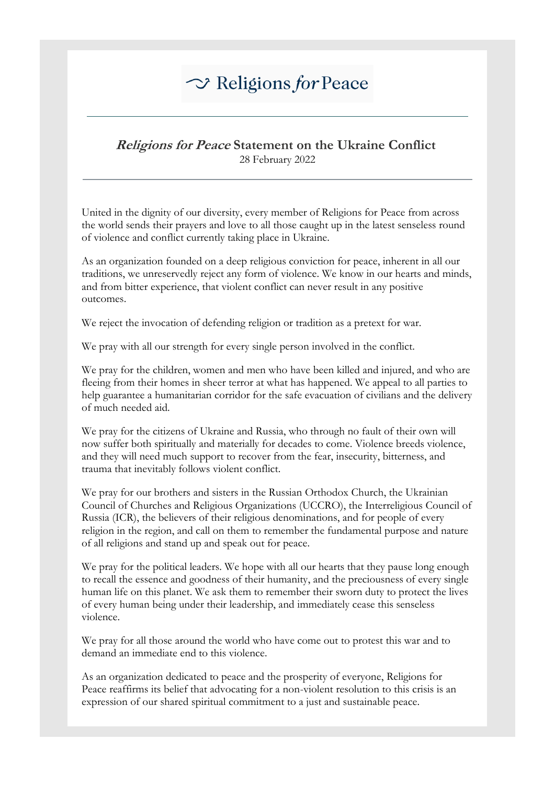## $\sim$  Religions for Peace

## **Religions for Peace Statement on the Ukraine Conflict** 28 February 2022

United in the dignity of our diversity, every member of Religions for Peace from across the world sends their prayers and love to all those caught up in the latest senseless round of violence and conflict currently taking place in Ukraine.

As an organization founded on a deep religious conviction for peace, inherent in all our traditions, we unreservedly reject any form of violence. We know in our hearts and minds, and from bitter experience, that violent conflict can never result in any positive outcomes.

We reject the invocation of defending religion or tradition as a pretext for war.

We pray with all our strength for every single person involved in the conflict.

We pray for the children, women and men who have been killed and injured, and who are fleeing from their homes in sheer terror at what has happened. We appeal to all parties to help guarantee a humanitarian corridor for the safe evacuation of civilians and the delivery of much needed aid.

We pray for the citizens of Ukraine and Russia, who through no fault of their own will now suffer both spiritually and materially for decades to come. Violence breeds violence, and they will need much support to recover from the fear, insecurity, bitterness, and trauma that inevitably follows violent conflict.

We pray for our brothers and sisters in the Russian Orthodox Church, the Ukrainian Council of Churches and Religious Organizations (UCCRO), the Interreligious Council of Russia (ICR), the believers of their religious denominations, and for people of every religion in the region, and call on them to remember the fundamental purpose and nature of all religions and stand up and speak out for peace.

We pray for the political leaders. We hope with all our hearts that they pause long enough to recall the essence and goodness of their humanity, and the preciousness of every single human life on this planet. We ask them to remember their sworn duty to protect the lives of every human being under their leadership, and immediately cease this senseless violence.

We pray for all those around the world who have come out to protest this war and to demand an immediate end to this violence.

As an organization dedicated to peace and the prosperity of everyone, Religions for Peace reaffirms its belief that advocating for a non-violent resolution to this crisis is an expression of our shared spiritual commitment to a just and sustainable peace.